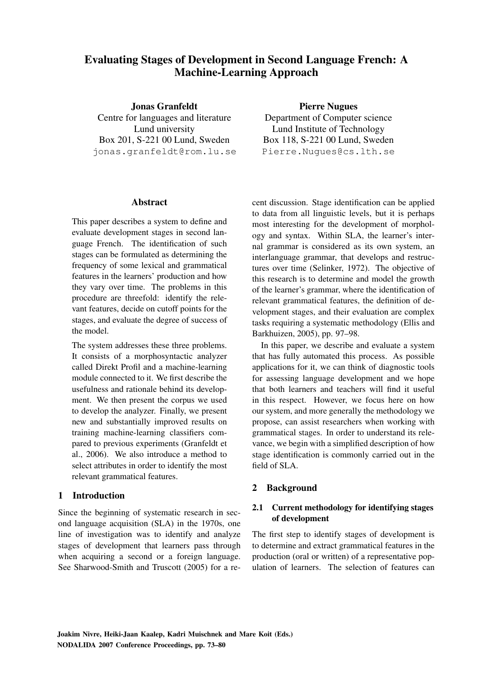# Evaluating Stages of Development in Second Language French: A Machine-Learning Approach

Jonas Granfeldt Centre for languages and literature Lund university Box 201, S-221 00 Lund, Sweden jonas.granfeldt@rom.lu.se Pierre Nugues

Department of Computer science Lund Institute of Technology Box 118, S-221 00 Lund, Sweden Pierre.Nugues@cs.lth.se

### **Abstract**

This paper describes a system to define and evaluate development stages in second language French. The identification of such stages can be formulated as determining the frequency of some lexical and grammatical features in the learners' production and how they vary over time. The problems in this procedure are threefold: identify the relevant features, decide on cutoff points for the stages, and evaluate the degree of success of the model.

The system addresses these three problems. It consists of a morphosyntactic analyzer called Direkt Profil and a machine-learning module connected to it. We first describe the usefulness and rationale behind its development. We then present the corpus we used to develop the analyzer. Finally, we present new and substantially improved results on training machine-learning classifiers compared to previous experiments (Granfeldt et al., 2006). We also introduce a method to select attributes in order to identify the most relevant grammatical features.

### 1 Introduction

Since the beginning of systematic research in second language acquisition (SLA) in the 1970s, one line of investigation was to identify and analyze stages of development that learners pass through when acquiring a second or a foreign language. See Sharwood-Smith and Truscott (2005) for a recent discussion. Stage identification can be applied to data from all linguistic levels, but it is perhaps most interesting for the development of morphology and syntax. Within SLA, the learner's internal grammar is considered as its own system, an interlanguage grammar, that develops and restructures over time (Selinker, 1972). The objective of this research is to determine and model the growth of the learner's grammar, where the identification of relevant grammatical features, the definition of development stages, and their evaluation are complex tasks requiring a systematic methodology (Ellis and Barkhuizen, 2005), pp. 97–98.

In this paper, we describe and evaluate a system that has fully automated this process. As possible applications for it, we can think of diagnostic tools for assessing language development and we hope that both learners and teachers will find it useful in this respect. However, we focus here on how our system, and more generally the methodology we propose, can assist researchers when working with grammatical stages. In order to understand its relevance, we begin with a simplified description of how stage identification is commonly carried out in the field of SLA.

## 2 Background

### 2.1 Current methodology for identifying stages of development

The first step to identify stages of development is to determine and extract grammatical features in the production (oral or written) of a representative population of learners. The selection of features can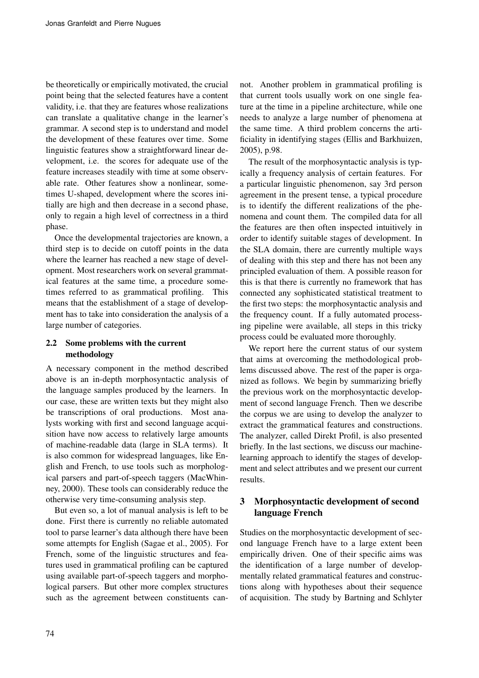be theoretically or empirically motivated, the crucial point being that the selected features have a content validity, i.e. that they are features whose realizations can translate a qualitative change in the learner's grammar. A second step is to understand and model the development of these features over time. Some linguistic features show a straightforward linear development, i.e. the scores for adequate use of the feature increases steadily with time at some observable rate. Other features show a nonlinear, sometimes U-shaped, development where the scores initially are high and then decrease in a second phase, only to regain a high level of correctness in a third phase.

Once the developmental trajectories are known, a third step is to decide on cutoff points in the data where the learner has reached a new stage of development. Most researchers work on several grammatical features at the same time, a procedure sometimes referred to as grammatical profiling. This means that the establishment of a stage of development has to take into consideration the analysis of a large number of categories.

## 2.2 Some problems with the current methodology

A necessary component in the method described above is an in-depth morphosyntactic analysis of the language samples produced by the learners. In our case, these are written texts but they might also be transcriptions of oral productions. Most analysts working with first and second language acquisition have now access to relatively large amounts of machine-readable data (large in SLA terms). It is also common for widespread languages, like English and French, to use tools such as morphological parsers and part-of-speech taggers (MacWhinney, 2000). These tools can considerably reduce the otherwise very time-consuming analysis step.

But even so, a lot of manual analysis is left to be done. First there is currently no reliable automated tool to parse learner's data although there have been some attempts for English (Sagae et al., 2005). For French, some of the linguistic structures and features used in grammatical profiling can be captured using available part-of-speech taggers and morphological parsers. But other more complex structures such as the agreement between constituents cannot. Another problem in grammatical profiling is that current tools usually work on one single feature at the time in a pipeline architecture, while one needs to analyze a large number of phenomena at the same time. A third problem concerns the artificiality in identifying stages (Ellis and Barkhuizen, 2005), p.98.

The result of the morphosyntactic analysis is typically a frequency analysis of certain features. For a particular linguistic phenomenon, say 3rd person agreement in the present tense, a typical procedure is to identify the different realizations of the phenomena and count them. The compiled data for all the features are then often inspected intuitively in order to identify suitable stages of development. In the SLA domain, there are currently multiple ways of dealing with this step and there has not been any principled evaluation of them. A possible reason for this is that there is currently no framework that has connected any sophisticated statistical treatment to the first two steps: the morphosyntactic analysis and the frequency count. If a fully automated processing pipeline were available, all steps in this tricky process could be evaluated more thoroughly.

We report here the current status of our system that aims at overcoming the methodological problems discussed above. The rest of the paper is organized as follows. We begin by summarizing briefly the previous work on the morphosyntactic development of second language French. Then we describe the corpus we are using to develop the analyzer to extract the grammatical features and constructions. The analyzer, called Direkt Profil, is also presented briefly. In the last sections, we discuss our machinelearning approach to identify the stages of development and select attributes and we present our current results.

## 3 Morphosyntactic development of second language French

Studies on the morphosyntactic development of second language French have to a large extent been empirically driven. One of their specific aims was the identification of a large number of developmentally related grammatical features and constructions along with hypotheses about their sequence of acquisition. The study by Bartning and Schlyter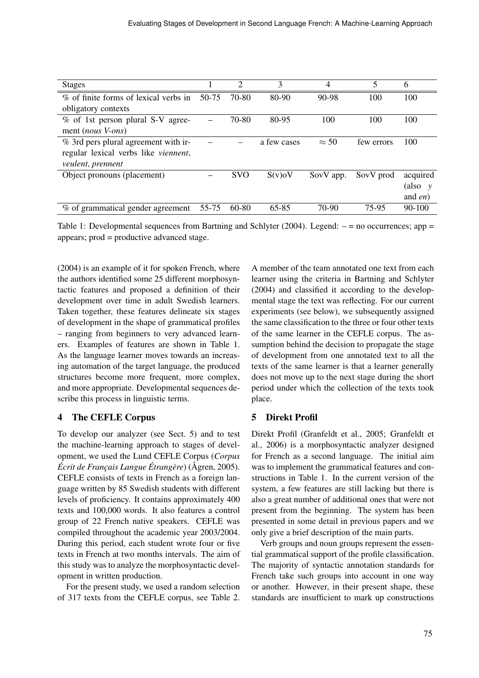| <b>Stages</b>                         |       | 2          | 3           | 4            | 5          | 6          |
|---------------------------------------|-------|------------|-------------|--------------|------------|------------|
| % of finite forms of lexical verbs in | 50-75 | 70-80      | 80-90       | 90-98        | 100        | 100        |
| obligatory contexts                   |       |            |             |              |            |            |
| % of 1st person plural S-V agree-     |       | 70-80      | 80-95       | 100          | 100        | 100        |
| ment ( <i>nous V-ons</i> )            |       |            |             |              |            |            |
| % 3rd pers plural agreement with ir-  |       |            | a few cases | $\approx$ 50 | few errors | 100        |
| regular lexical verbs like viennent,  |       |            |             |              |            |            |
| <i>veulent, prennent</i>              |       |            |             |              |            |            |
| Object pronouns (placement)           |       | <b>SVO</b> | S(v) o V    | SovV app.    | SovV prod  | acquired   |
|                                       |       |            |             |              |            | (also y    |
|                                       |       |            |             |              |            | and $en$ ) |
| % of grammatical gender agreement     | 55-75 | $60-80$    | 65-85       | 70-90        | 75-95      | 90-100     |

Table 1: Developmental sequences from Bartning and Schlyter (2004). Legend: – = no occurrences; app = appears; prod = productive advanced stage.

(2004) is an example of it for spoken French, where the authors identified some 25 different morphosyntactic features and proposed a definition of their development over time in adult Swedish learners. Taken together, these features delineate six stages of development in the shape of grammatical profiles – ranging from beginners to very advanced learners. Examples of features are shown in Table 1. As the language learner moves towards an increasing automation of the target language, the produced structures become more frequent, more complex, and more appropriate. Developmental sequences describe this process in linguistic terms.

## 4 The CEFLE Corpus

To develop our analyzer (see Sect. 5) and to test the machine-learning approach to stages of development, we used the Lund CEFLE Corpus (*Corpus Écrit de Français Langue Étrangère*) (Ågren, 2005). CEFLE consists of texts in French as a foreign language written by 85 Swedish students with different levels of proficiency. It contains approximately 400 texts and 100,000 words. It also features a control group of 22 French native speakers. CEFLE was compiled throughout the academic year 2003/2004. During this period, each student wrote four or five texts in French at two months intervals. The aim of this study was to analyze the morphosyntactic development in written production.

For the present study, we used a random selection of 317 texts from the CEFLE corpus, see Table 2.

A member of the team annotated one text from each learner using the criteria in Bartning and Schlyter (2004) and classified it according to the developmental stage the text was reflecting. For our current experiments (see below), we subsequently assigned the same classification to the three or four other texts of the same learner in the CEFLE corpus. The assumption behind the decision to propagate the stage of development from one annotated text to all the texts of the same learner is that a learner generally does not move up to the next stage during the short period under which the collection of the texts took place.

## 5 Direkt Profil

Direkt Profil (Granfeldt et al., 2005; Granfeldt et al., 2006) is a morphosyntactic analyzer designed for French as a second language. The initial aim was to implement the grammatical features and constructions in Table 1. In the current version of the system, a few features are still lacking but there is also a great number of additional ones that were not present from the beginning. The system has been presented in some detail in previous papers and we only give a brief description of the main parts.

Verb groups and noun groups represent the essential grammatical support of the profile classification. The majority of syntactic annotation standards for French take such groups into account in one way or another. However, in their present shape, these standards are insufficient to mark up constructions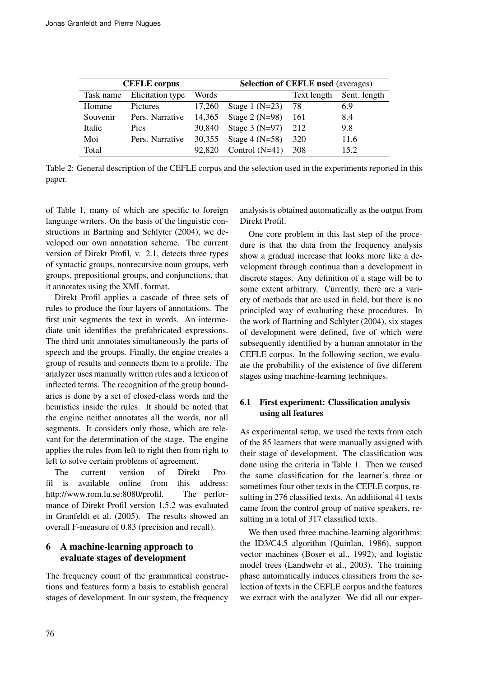|               | <b>CEFLE</b> corpus        |        | <b>Selection of CEFLE used (averages)</b> |             |              |  |  |  |
|---------------|----------------------------|--------|-------------------------------------------|-------------|--------------|--|--|--|
|               | Task name Elicitation type | Words  |                                           | Text length | Sent. length |  |  |  |
| Homme         | <b>Pictures</b>            | 17,260 | Stage 1 $(N=23)$                          | -78         | 6.9          |  |  |  |
| Souvenir      | Pers. Narrative            |        | 14,365 Stage 2 (N=98)                     | -161        | 8.4          |  |  |  |
| <b>Italie</b> | Pics                       | 30.840 | Stage $3(N=97)$                           | 212         | 9.8          |  |  |  |
| Moi           | Pers. Narrative            | 30,355 | Stage $4(N=58)$                           | 320         | 11.6         |  |  |  |
| Total         |                            | 92.820 | Control $(N=41)$                          | 308         | 15.2         |  |  |  |

Table 2: General description of the CEFLE corpus and the selection used in the experiments reported in this paper.

of Table 1, many of which are specific to foreign language writers. On the basis of the linguistic constructions in Bartning and Schlyter (2004), we developed our own annotation scheme. The current version of Direkt Profil, v. 2.1, detects three types of syntactic groups, nonrecursive noun groups, verb groups, prepositional groups, and conjunctions, that it annotates using the XML format.

Direkt Profil applies a cascade of three sets of rules to produce the four layers of annotations. The first unit segments the text in words. An intermediate unit identifies the prefabricated expressions. The third unit annotates simultaneously the parts of speech and the groups. Finally, the engine creates a group of results and connects them to a profile. The analyzer uses manually written rules and a lexicon of inflected terms. The recognition of the group boundaries is done by a set of closed-class words and the heuristics inside the rules. It should be noted that the engine neither annotates all the words, nor all segments. It considers only those, which are relevant for the determination of the stage. The engine applies the rules from left to right then from right to left to solve certain problems of agreement.

The current version of Direkt Profil is available online from this address: http://www.rom.lu.se:8080/profil. The performance of Direkt Profil version 1.5.2 was evaluated in Granfeldt et al. (2005). The results showed an overall F-measure of 0.83 (precision and recall).

## 6 A machine-learning approach to evaluate stages of development

The frequency count of the grammatical constructions and features form a basis to establish general stages of development. In our system, the frequency analysis is obtained automatically as the output from Direkt Profil.

One core problem in this last step of the procedure is that the data from the frequency analysis show a gradual increase that looks more like a development through continua than a development in discrete stages. Any definition of a stage will be to some extent arbitrary. Currently, there are a variety of methods that are used in field, but there is no principled way of evaluating these procedures. In the work of Bartning and Schlyter (2004), six stages of development were defined, five of which were subsequently identified by a human annotator in the CEFLE corpus. In the following section, we evaluate the probability of the existence of five different stages using machine-learning techniques.

## 6.1 First experiment: Classification analysis using all features

As experimental setup, we used the texts from each of the 85 learners that were manually assigned with their stage of development. The classification was done using the criteria in Table 1. Then we reused the same classification for the learner's three or sometimes four other texts in the CEFLE corpus, resulting in 276 classified texts. An additional 41 texts came from the control group of native speakers, resulting in a total of 317 classified texts.

We then used three machine-learning algorithms: the ID3/C4.5 algorithm (Quinlan, 1986), support vector machines (Boser et al., 1992), and logistic model trees (Landwehr et al., 2003). The training phase automatically induces classifiers from the selection of texts in the CEFLE corpus and the features we extract with the analyzer. We did all our exper-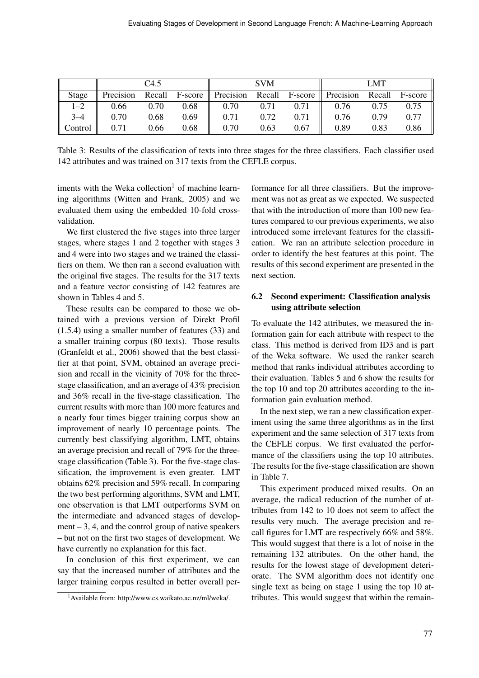|                     | C <sub>4.5</sub> |      |      | <b>SVM</b>                                                                 |             |      | LMT  |      |      |
|---------------------|------------------|------|------|----------------------------------------------------------------------------|-------------|------|------|------|------|
| Stage               |                  |      |      | Precision Recall F-score Precision Recall F-score Precision Recall F-score |             |      |      |      |      |
| $1 - 2$             | 0.66             | 0.70 | 0.68 | $\parallel$ 0.70                                                           | $0.71$ 0.71 |      | 0.76 | 0.75 | 0.75 |
| $3 - 4$             | 0.70             | 0.68 | 0.69 | 0.71                                                                       | 0.72        | 0.71 | 0.76 | 0.79 | 0.77 |
| $\parallel$ Control | 0.71             | 0.66 | 0.68 | 0.70                                                                       | 0.63        | 0.67 | 0.89 | 0.83 | 0.86 |

Table 3: Results of the classification of texts into three stages for the three classifiers. Each classifier used 142 attributes and was trained on 317 texts from the CEFLE corpus.

iments with the Weka collection<sup>1</sup> of machine learning algorithms (Witten and Frank, 2005) and we evaluated them using the embedded 10-fold crossvalidation.

We first clustered the five stages into three larger stages, where stages 1 and 2 together with stages 3 and 4 were into two stages and we trained the classifiers on them. We then ran a second evaluation with the original five stages. The results for the 317 texts and a feature vector consisting of 142 features are shown in Tables 4 and 5.

These results can be compared to those we obtained with a previous version of Direkt Profil (1.5.4) using a smaller number of features (33) and a smaller training corpus (80 texts). Those results (Granfeldt et al., 2006) showed that the best classifier at that point, SVM, obtained an average precision and recall in the vicinity of 70% for the threestage classification, and an average of 43% precision and 36% recall in the five-stage classification. The current results with more than 100 more features and a nearly four times bigger training corpus show an improvement of nearly 10 percentage points. The currently best classifying algorithm, LMT, obtains an average precision and recall of 79% for the threestage classification (Table 3). For the five-stage classification, the improvement is even greater. LMT obtains 62% precision and 59% recall. In comparing the two best performing algorithms, SVM and LMT, one observation is that LMT outperforms SVM on the intermediate and advanced stages of development  $-3$ , 4, and the control group of native speakers – but not on the first two stages of development. We have currently no explanation for this fact.

In conclusion of this first experiment, we can say that the increased number of attributes and the larger training corpus resulted in better overall performance for all three classifiers. But the improvement was not as great as we expected. We suspected that with the introduction of more than 100 new features compared to our previous experiments, we also introduced some irrelevant features for the classification. We ran an attribute selection procedure in order to identify the best features at this point. The results of this second experiment are presented in the next section.

### 6.2 Second experiment: Classification analysis using attribute selection

To evaluate the 142 attributes, we measured the information gain for each attribute with respect to the class. This method is derived from ID3 and is part of the Weka software. We used the ranker search method that ranks individual attributes according to their evaluation. Tables 5 and 6 show the results for the top 10 and top 20 attributes according to the information gain evaluation method.

In the next step, we ran a new classification experiment using the same three algorithms as in the first experiment and the same selection of 317 texts from the CEFLE corpus. We first evaluated the performance of the classifiers using the top 10 attributes. The results for the five-stage classification are shown in Table 7.

This experiment produced mixed results. On an average, the radical reduction of the number of attributes from 142 to 10 does not seem to affect the results very much. The average precision and recall figures for LMT are respectively 66% and 58%. This would suggest that there is a lot of noise in the remaining 132 attributes. On the other hand, the results for the lowest stage of development deteriorate. The SVM algorithm does not identify one single text as being on stage 1 using the top 10 attributes. This would suggest that within the remain-

<sup>1</sup>Available from: http://www.cs.waikato.ac.nz/ml/weka/.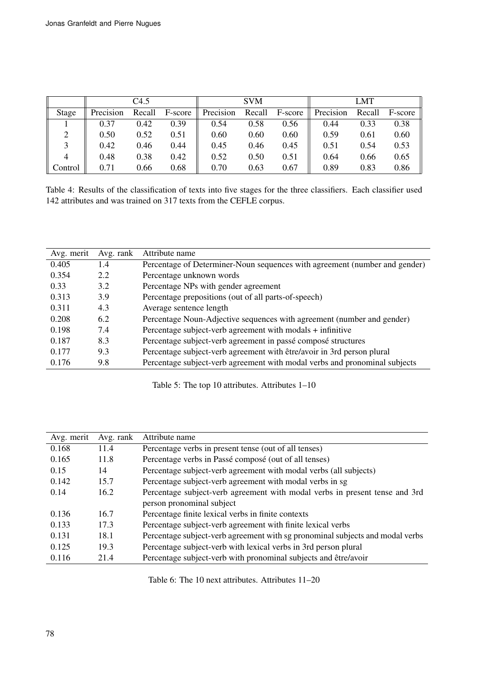|         | C4.5      |        |         |           | <b>SVM</b> |         | LMT       |        |         |
|---------|-----------|--------|---------|-----------|------------|---------|-----------|--------|---------|
| Stage   | Precision | Recall | F-score | Precision | Recall     | F-score | Precision | Recall | F-score |
|         | 0.37      | 0.42   | 0.39    | 0.54      | 0.58       | 0.56    | 0.44      | 0.33   | 0.38    |
|         | 0.50      | 0.52   | 0.51    | 0.60      | 0.60       | 0.60    | 0.59      | 0.61   | 0.60    |
|         | 0.42      | 0.46   | 0.44    | 0.45      | 0.46       | 0.45    | 0.51      | 0.54   | 0.53    |
|         | 0.48      | 0.38   | 0.42    | 0.52      | 0.50       | 0.51    | 0.64      | 0.66   | 0.65    |
| Control | 0.71      | 0.66   | 0.68    | 0.70      | 0.63       | 0.67    | 0.89      | 0.83   | 0.86    |

Table 4: Results of the classification of texts into five stages for the three classifiers. Each classifier used 142 attributes and was trained on 317 texts from the CEFLE corpus.

| Avg. merit | Avg. rank | Attribute name                                                             |
|------------|-----------|----------------------------------------------------------------------------|
| 0.405      | 1.4       | Percentage of Determiner-Noun sequences with agreement (number and gender) |
| 0.354      | 2.2       | Percentage unknown words                                                   |
| 0.33       | 3.2       | Percentage NPs with gender agreement                                       |
| 0.313      | 3.9       | Percentage prepositions (out of all parts-of-speech)                       |
| 0.311      | 4.3       | Average sentence length                                                    |
| 0.208      | 6.2       | Percentage Noun-Adjective sequences with agreement (number and gender)     |
| 0.198      | 7.4       | Percentage subject-verb agreement with modals + infinitive                 |
| 0.187      | 8.3       | Percentage subject-verb agreement in passé composé structures              |
| 0.177      | 9.3       | Percentage subject-verb agreement with être/avoir in 3rd person plural     |
| 0.176      | 9.8       | Percentage subject-verb agreement with modal verbs and pronominal subjects |
|            |           |                                                                            |

Table 5: The top 10 attributes. Attributes 1–10

| Avg. merit | Avg. rank | Attribute name                                                                |
|------------|-----------|-------------------------------------------------------------------------------|
| 0.168      | 11.4      | Percentage verbs in present tense (out of all tenses)                         |
| 0.165      | 11.8      | Percentage verbs in Passé composé (out of all tenses)                         |
| 0.15       | 14        | Percentage subject-verb agreement with modal verbs (all subjects)             |
| 0.142      | 15.7      | Percentage subject-verb agreement with modal verbs in sg                      |
| 0.14       | 16.2      | Percentage subject-verb agreement with modal verbs in present tense and 3rd   |
|            |           | person pronominal subject                                                     |
| 0.136      | 16.7      | Percentage finite lexical verbs in finite contexts                            |
| 0.133      | 17.3      | Percentage subject-verb agreement with finite lexical verbs                   |
| 0.131      | 18.1      | Percentage subject-verb agreement with sg pronominal subjects and modal verbs |
| 0.125      | 19.3      | Percentage subject-verb with lexical verbs in 3rd person plural               |
| 0.116      | 21.4      | Percentage subject-verb with pronominal subjects and être/avoir               |

Table 6: The 10 next attributes. Attributes 11–20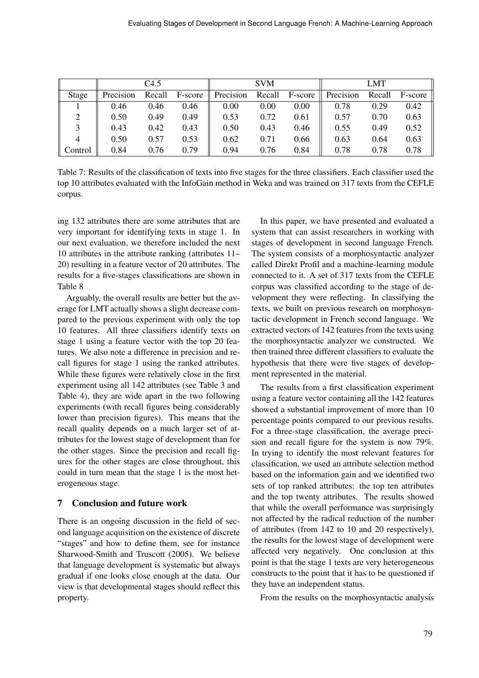|         | C4.5      |        |         |           | <b>SVM</b> |         | <b>LMT</b> |        |         |
|---------|-----------|--------|---------|-----------|------------|---------|------------|--------|---------|
| Stage   | Precision | Recall | F-score | Precision | Recall     | F-score | Precision  | Recall | F-score |
|         | 0.46      | 0.46   | 0.46    | 0.00      | 0.00       | 0.00    | 0.78       | 0.29   | 0.42    |
| 2       | 0.50      | 0.49   | 0.49    | 0.53      | 0.72       | 0.61    | 0.57       | 0.70   | 0.63    |
| 3       | 0.43      | 0.42   | 0.43    | 0.50      | 0.43       | 0.46    | 0.55       | 0.49   | 0.52    |
| 4       | 0.50      | 0.57   | 0.53    | 0.62      | 0.71       | 0.66    | 0.63       | 0.64   | 0.63    |
| Control | 0.84      | 0.76   | 0.79    | 0.94      | 0.76       | 0.84    | 0.78       | 0.78   | 0.78    |

Table 7: Results of the classification of texts into five stages for the three classifiers. Each classifier used the top 10 attributes evaluated with the InfoGain method in Weka and was trained on 317 texts from the CEFLE corpus.

ing 132 attributes there are some attributes that are very important for identifying texts in stage 1. In our next evaluation, we therefore included the next 10 attributes in the attribute ranking (attributes 11– 20) resulting in a feature vector of 20 attributes. The results for a five-stages classifications are shown in Table 8

Arguably, the overall results are better but the average for LMT actually shows a slight decrease compared to the previous experiment with only the top 10 features. All three classifiers identify texts on stage 1 using a feature vector with the top 20 features. We also note a difference in precision and recall figures for stage 1 using the ranked attributes. While these figures were relatively close in the first experiment using all 142 attributes (see Table 3 and Table 4), they are wide apart in the two following experiments (with recall figures being considerably lower than precision figures). This means that the recall quality depends on a much larger set of attributes for the lowest stage of development than for the other stages. Since the precision and recall figures for the other stages are close throughout, this could in turn mean that the stage 1 is the most heterogeneous stage.

## 7 Conclusion and future work

There is an ongoing discussion in the field of second language acquisition on the existence of discrete "stages" and how to define them, see for instance Sharwood-Smith and Truscott (2005). We believe that language development is systematic but always gradual if one looks close enough at the data. Our view is that developmental stages should reflect this property.

In this paper, we have presented and evaluated a system that can assist researchers in working with stages of development in second language French. The system consists of a morphosyntactic analyzer called Direkt Profil and a machine-learning module connected to it. A set of 317 texts from the CEFLE corpus was classified according to the stage of development they were reflecting. In classifying the texts, we built on previous research on morphosyntactic development in French second language. We extracted vectors of 142 features from the texts using the morphosyntactic analyzer we constructed. We then trained three different classifiers to evaluate the hypothesis that there were five stages of development represented in the material.

The results from a first classification experiment using a feature vector containing all the 142 features showed a substantial improvement of more than 10 percentage points compared to our previous results. For a three-stage classification, the average precision and recall figure for the system is now 79%. In trying to identify the most relevant features for classification, we used an attribute selection method based on the information gain and we identified two sets of top ranked attributes: the top ten attributes and the top twenty attributes. The results showed that while the overall performance was surprisingly not affected by the radical reduction of the number of attributes (from 142 to 10 and 20 respectively), the results for the lowest stage of development were affected very negatively. One conclusion at this point is that the stage 1 texts are very heterogeneous constructs to the point that it has to be questioned if they have an independent status.

From the results on the morphosyntactic analysis